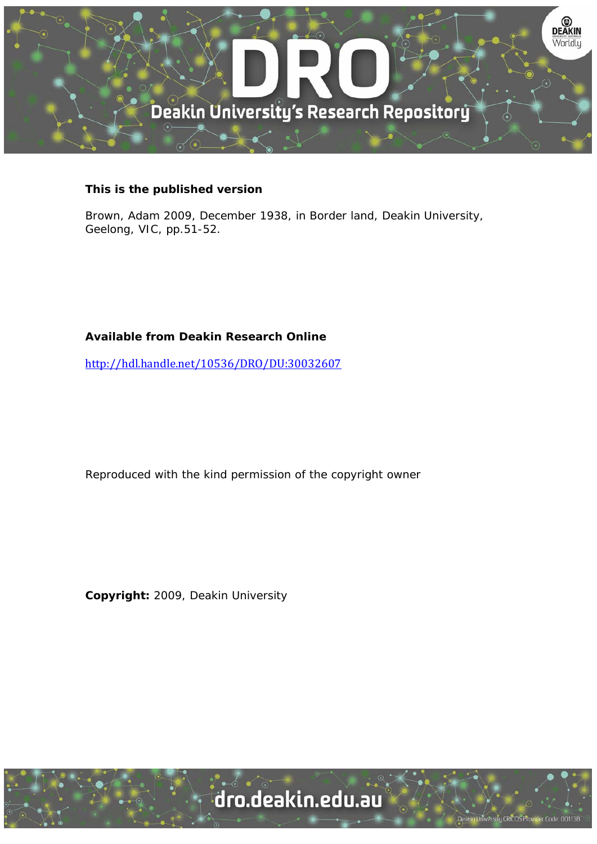

## **This is the published version**

Brown, Adam 2009, December 1938, in Border land, Deakin University, Geelong, VIC, pp.51-52.

## **Available from Deakin Research Online**

http://hdl.handle.net/10536/DRO/DU:30032607

Reproduced with the kind permission of the copyright owner

**Copyright:** 2009, Deakin University

University CRICOS Provider Code: 00113B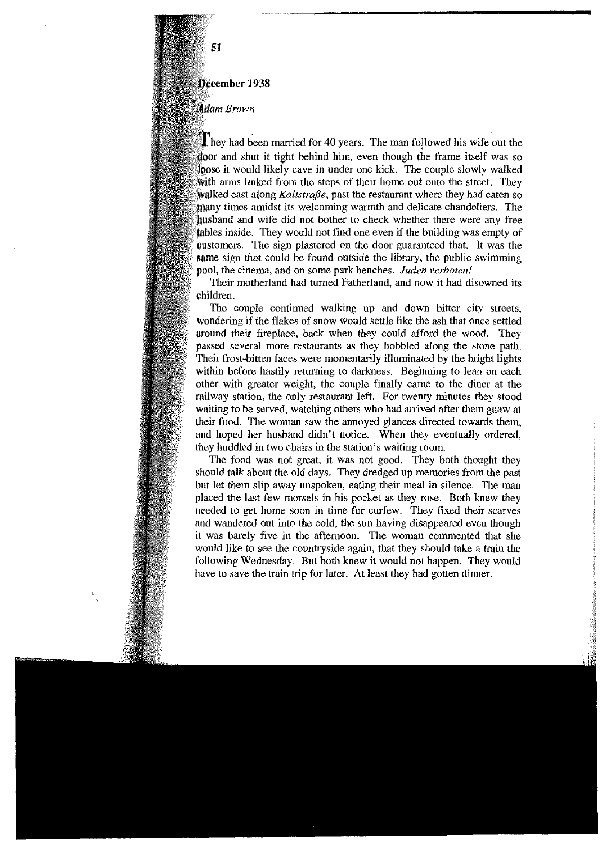## **December 1938**

## **Adam Brown**

They had been married for 40 years. The man followed his wife out the door and shut it tight behind him, even though the frame itself was so loose it would likely cave in under one kick. The couple slowly walked with arms linked from the steps of their home out onto the street. They walked east along *Kaltstraße*, past the restaurant where they had eaten so times amidst its welcoming warmth and delicate chandeliers. The husband and wife did not bother to check whether there were any free inside. They would not find one even if the building was empty of oustomers. The sign plastered on the door guaranteed that. It was the same sign that could be found outside the library, the public swimming pool, the cinema, and on some park benches. *Juden verboten!* 

Their motherland had turned Fatherland, and now it had disowned its children.

The couple continued walking up and down bitter city streets, wondering if the flakes of snow would settle like the ash that once settled around their fireplace, hack when they could afford the wood. They passed several more restaurants as they hobbled along the stone path. Their frost-bitten faces were momentarily illuminated by the bright lights within before hastily returning to darkness. Beginning to lean on each other with greater weight, the couple finally came to the diner at the railway station, the only restaurant left. For twenty minutes they stood waiting to be served, watching others who had arrived after them gnaw at their food. The woman saw the annoyed glances directed towards them, and hoped her husband didn't notice. When they eventually ordered, (hey huddled in two chairs in the station's waiting room.

The food was not great, it was not good. They both thought they should talk about the old days. They dredged up memories from the past but let them slip away unspoken, eating their meal in silence. The man placed the last few morsels in his pocket as they rose. Both knew they needed to get home soon in time for curfew. They fixed their scarves and wandered out into the cold, the sun having disappeared even though it was barely five in the afternoon. The woman commented that she would like to see the countryside again, that they should take a train the following Wednesday. But both knew it would not happen. They would have to save the train trip for later. At least they had gotten dinner.